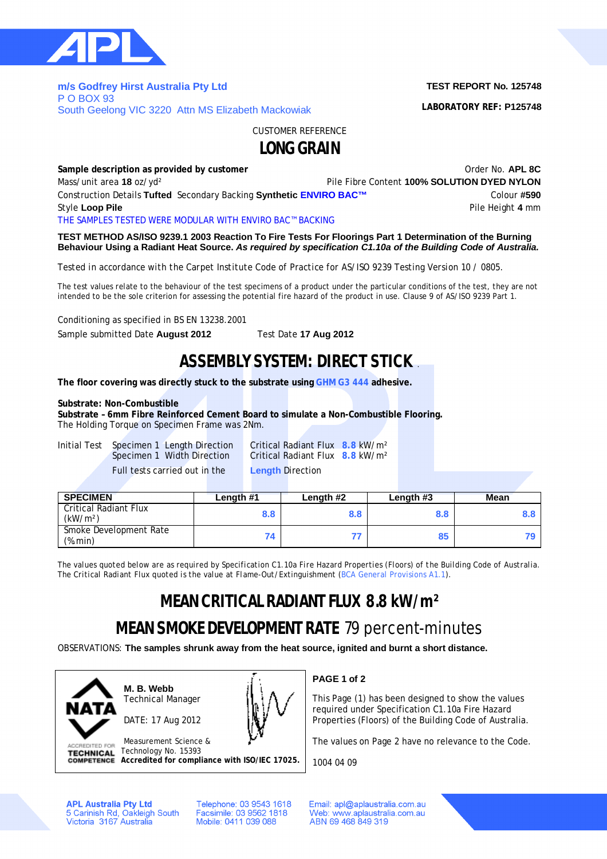

**m/s Godfrey Hirst Australia Pty Ltd**  P O BOX 93 South Geelong VIC 3220 Attn MS Elizabeth Mackowiak **TEST REPORT No. 125748**

**LABORATORY REF: P125748**

CUSTOMER REFERENCE

## **LONG GRAIN**

**Sample description as provided by customer COVID-100 COVID-100 COVID-100 COVID-100 COVID-100 COVID-100 COVID-100 COVID-100 COVID-100 COVID-100 COVID-100 COVID-100 COVID-100 COVID-100 COVID-100 COVID-100 COVID-100 COVID-**Mass/unit area **18** oz/yd² Pile Fibre Content **100% SOLUTION DYED NYLON** Construction Details **Tufted** Secondary Backing **Synthetic ENVIRO BAC™** Colour **#590** Style Loop Pile **Pile Height 4** mm THE SAMPLES TESTED WERE MODULAR WITH ENVIRO BAC™ BACKING

**TEST METHOD AS/ISO 9239.1 2003 Reaction To Fire Tests For Floorings Part 1 Determination of the Burning Behaviour Using a Radiant Heat Source.** *As required by specification C1.10a of the Building Code of Australia.*

*Tested in accordance with the Carpet Institute Code of Practice for AS/ISO 9239 Testing Version 10 / 0805.*

The test values relate to the behaviour of the test specimens of a product under the particular conditions of the test, they are not intended to be the sole criterion for assessing the potential fire hazard of the product in use. Clause 9 of AS/ISO 9239 Part 1.

Conditioning as specified in BS EN 13238.2001

Sample submitted Date **August 2012** Test Date **17 Aug 2012**

## **ASSEMBLY SYSTEM: DIRECT STICK** .

**The floor covering was directly stuck to the substrate using GHM G3 444 adhesive.**

### **Substrate: Non-Combustible**

**Substrate – 6mm Fibre Reinforced Cement Board to simulate a Non-Combustible Flooring.** The Holding Torque on Specimen Frame was 2Nm.

Initial Test Specimen 1 Length Direction Critical Radiant Flux **8.8** kW/m² Full tests carried out in the **Length** Direction

Critical Radiant Flux **8.8** kW/m<sup>2</sup>

| <b>SPECIMEN</b>                               | Length #1 | Length #2 | Length #3 | <b>Mean</b> |
|-----------------------------------------------|-----------|-----------|-----------|-------------|
| Critical Radiant Flux<br>(kW/m <sup>2</sup> ) | 8.8       | 8.8       | 8.8       |             |
| Smoke Development Rate<br>(%.min)             |           |           | 85        |             |

*The values quoted below are as required by Specification C1.10a Fire Hazard Properties (Floors) of the Building Code of Australia. The Critical Radiant Flux quoted is the value at Flame-Out/Extinguishment (BCA General Provisions A1.1).*

# **MEAN CRITICAL RADIANT FLUX 8.8 kW/m²**

# **MEAN SMOKE DEVELOPMENT RATE** 79 percent-minutes

OBSERVATIONS: **The samples shrunk away from the heat source, ignited and burnt a short distance.**



**M. B. Webb** Technical Manager

DATE: 17 Aug 2012



Measurement Science & **ACCREDITED FOR** Technology No. 15393 **TECHNICAL Accredited for compliance with ISO/IEC 17025.** **PAGE 1 of 2**

This Page (1) has been designed to show the values required under Specification C1.10a Fire Hazard Properties (Floors) of the Building Code of Australia.

The values on Page 2 have no relevance to the Code.

1004 04 09

**APL Australia Pty Ltd** 5 Carinish Rd, Oakleigh South<br>Victoria 3167 Australia Telephone: 03 9543 1618 Facsimile: 03 9562 1818 Mobile: 0411 039 088

Email: apl@aplaustralia.com.au Web: www.aplaustralia.com.au ABN 69 468 849 319